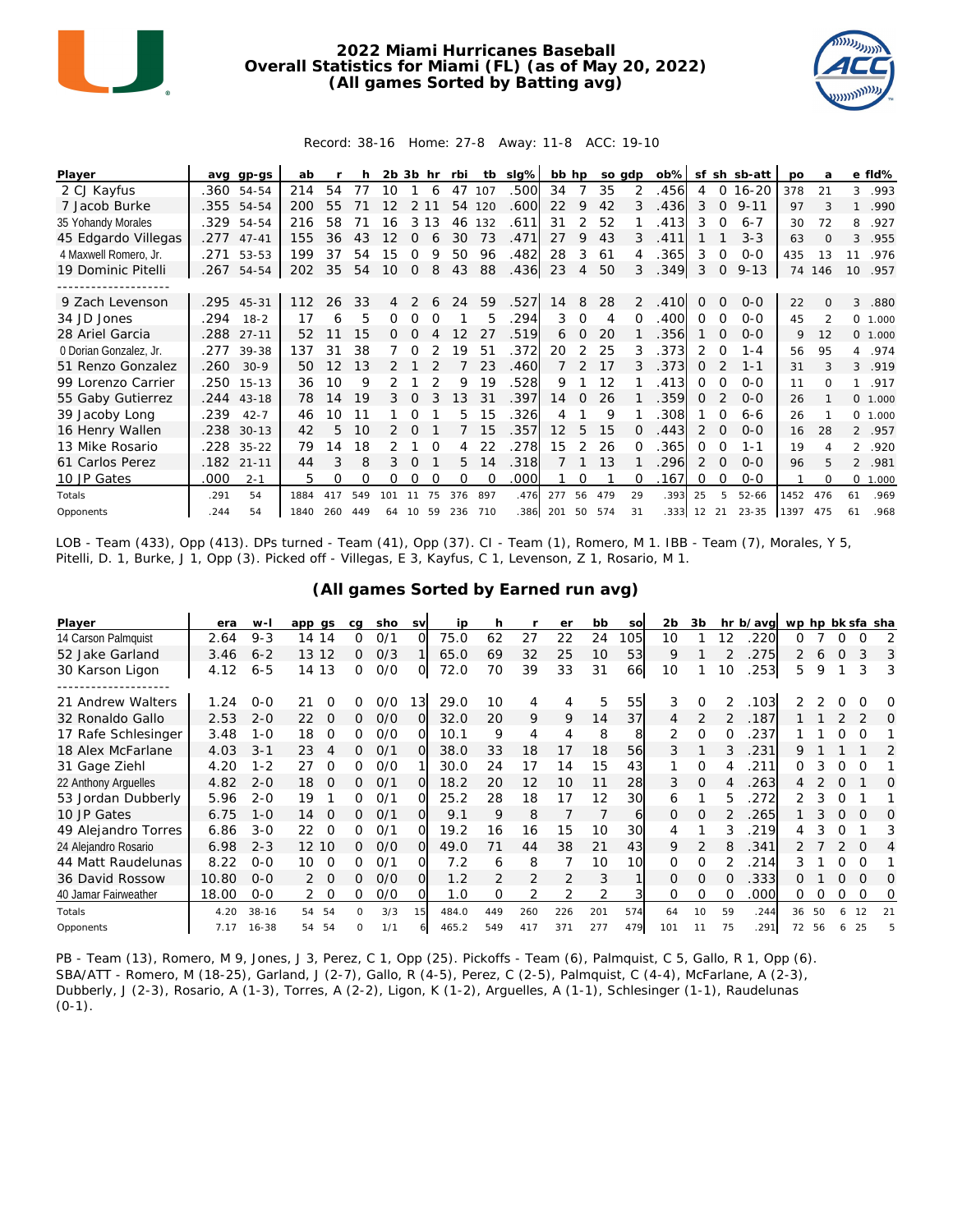

## **2022 Miami Hurricanes Baseball Overall Statistics for Miami (FL) (as of May 20, 2022) (All games Sorted by Batting avg)**



## Record: 38-16 Home: 27-8 Away: 11-8 ACC: 19-10

| Player                 | ava  | gp-gs      | ab   |     |     | 2b  | 3b       | hr       | rbi | tb       | $slq\%$ | bb hp |               | so gdp |          | $ob\%$ | sf       |          | sh sb-att | po   | a                        |                | e fld%   |
|------------------------|------|------------|------|-----|-----|-----|----------|----------|-----|----------|---------|-------|---------------|--------|----------|--------|----------|----------|-----------|------|--------------------------|----------------|----------|
| 2 CJ Kayfus            |      | .360 54-54 | 214  | 54  | 77  | 10  |          | 6        | 47  | 107      | .500    | 34    |               | 35     | 2        | .456   | 4        | 0        | $16 - 20$ | 378  | 21                       | 3              | .993     |
| 7 Jacob Burke          |      | .355 54-54 | 200  | 55  |     |     |          |          | 54  | 120      | .600    | 22    | 9             | 42     | 3        | .436   | 3        | $\Omega$ | $9 - 11$  | 97   | 3                        | 1              | .990     |
| 35 Yohandy Morales     | .329 | 54-54      | 216  | 58  |     | 16  | 3        | 13       | 46  | 132      | .611    | 31    |               | 52     |          | .413   | 3        | $\Omega$ | $6 - 7$   | 30   | 72                       | 8              | .927     |
| 45 Edgardo Villegas    | .277 | $47 - 41$  | 155  | 36  | 43  | 12  | 0        | 6        | 30  | 73       | .471    | 27    | 9             | 43     | 3        | .411   |          |          | $3 - 3$   | 63   | $\Omega$                 | 3              | .955     |
| 4 Maxwell Romero, Jr.  | .271 | 53-53      | 199  | 37  | 54  | 15  | Ω        | Q        | 50  | 96       | .482    | 28    | 3             | 61     | 4        | .365   | 3        | 0        | $0 - 0$   | 435  | 13                       | 11             | .976     |
| 19 Dominic Pitelli     | .267 | 54-54      | 202  | 35  | 54  | 10  | 0        | 8        | 43  | 88       | .436    | 23    | 4             | 50     | 3        | .349   | 3        | 0        | $9 - 13$  | 74   | 146                      | 10             | .957     |
|                        |      |            |      |     |     |     |          |          |     |          |         |       |               |        |          |        |          |          |           |      |                          |                |          |
| 9 Zach Levenson        |      | .295 45-31 | 112  | 26  | 33  |     |          |          | 24  | 59       | .527    | 14    | 8             | 28     | 2        | .410   | 0        | $\Omega$ | $O - O$   | 22   | $\Omega$                 | 3              | .880     |
| 34 JD Jones            | .294 | $18 - 2$   | 17   | 6   | 5   | 0   | O        | $\Omega$ |     | 5        | 294     | 3     | $\Omega$      | 4      | $\Omega$ | .400   | 0        | $\Omega$ | $0 - 0$   | 45   | $\overline{\mathcal{L}}$ |                | 0 1.000  |
| 28 Ariel Garcia        | .288 | $27 - 11$  | 52   |     | 15  | 0   | $\Omega$ |          | 12  | 27       | .519    | 6     | $\Omega$      | 20     |          | .356   |          | $\Omega$ | $0 - 0$   | 9    | 12                       |                | 0 1.000  |
| 0 Dorian Gonzalez, Jr. | .277 | 39-38      | 137  | 31  | 38  |     |          |          | 19  | 51       | .372    | 20    | 2             | 25     |          | .373   | 2        | $\Omega$ | $1 - 4$   | 56   | 95                       | 4              | .974     |
| 51 Renzo Gonzalez      | .260 | $30-9$     | 50   | 12  | 13  |     |          |          |     | 23       | .460    |       | $\mathcal{P}$ | 17     | 3        | .373   | $\Omega$ |          | $1 - 1$   | 31   | 3                        | 3              | .919     |
| 99 Lorenzo Carrier     | .250 | $15 - 13$  | 36   | 10  | 9   |     |          |          | 9   | 19       | .528    | 9     |               | 12     |          | .413   | 0        | 0        | $0 - 0$   | 11   | $\Omega$                 | $\mathbf{1}$   | .917     |
| 55 Gaby Gutierrez      |      | .244 43-18 | 78   | 14  | 19  | 3   |          |          | 13  | 31       | .397    | 14    | $\Omega$      | 26     |          | .359   | $\Omega$ |          | $0 - 0$   | 26   |                          |                | 0 1.000  |
| 39 Jacoby Long         | .239 | $42 - 7$   | 46   | 10  | 11  |     |          |          | 5.  | 15       | .326    | 4     |               | 9      |          | 308    |          | $\Omega$ | $6 - 6$   | 26   |                          |                | 0, 1,000 |
| 16 Henry Wallen        | .238 | $30 - 13$  | 42   | 5   | 10  | 2   | $\Omega$ |          |     | 15       | .357    | 12    | 5.            | 15     | $\Omega$ | .443   | 2        | $\Omega$ | $0 - 0$   | 16   | 28                       |                | 2 .957   |
| 13 Mike Rosario        | .228 | $35 - 22$  | 79   | 14  | 18  |     |          |          | 4   | 22       | .278    | 15    | 2             | 26     |          | 365    | 0        | O        | $1 - 1$   | 19   |                          | $\overline{2}$ | .920     |
| 61 Carlos Perez        | .182 | $21 - 11$  | 44   | 3   | 8   | 3   | $\Omega$ |          | 5.  | 14       | .318    |       |               | 13     |          | 296    | 2        | $\Omega$ | $0 - 0$   | 96   | 5                        | $\mathfrak{D}$ | .981     |
| 10 JP Gates            | .000 | $2 - 1$    | 5    | 0   | Ω   | Ω   | 0        | $\Omega$ | 0   | $\Omega$ | .000    |       | Ω             |        | O        | .167   | 0        | $\Omega$ | $0 - 0$   |      | $\Omega$                 | $\circ$        | 1.000    |
| Totals                 | .291 | 54         | 1884 | 417 | 549 | 101 |          | 75       | 376 | 897      | .476    | 277   | 56            | 479    | 29       | .393   | 25       | 5        | $52 - 66$ | 1452 | 476                      | 61             | .969     |
| Opponents              | .244 | 54         | 1840 | 260 | 449 | 64  | 10       | 59       | 236 | 710      | .386    | 201   | 50            | 574    | 31       | .333   | 12       | 21       | $23 - 35$ | 1397 | 475                      | 61             | .968     |

LOB - Team (433), Opp (413). DPs turned - Team (41), Opp (37). CI - Team (1), Romero, M 1. IBB - Team (7), Morales, Y 5, Pitelli, D. 1, Burke, J 1, Opp (3). Picked off - Villegas, E 3, Kayfus, C 1, Levenson, Z 1, Rosario, M 1.

| Player               | era   | $W -$     | app gs                    | cq           | sho | <b>SV</b> | ip    | h             |                | er            | bb  | SO  | 2 <sub>b</sub> | 3 <sub>b</sub> |    | hr b/avg | wp hp bk sfa sha |    |          |          |    |
|----------------------|-------|-----------|---------------------------|--------------|-----|-----------|-------|---------------|----------------|---------------|-----|-----|----------------|----------------|----|----------|------------------|----|----------|----------|----|
| 14 Carson Palmquist  | 2.64  | $9 - 3$   | 14 14                     | 0            | 0/1 | Ω         | 75.0  | 62            | 27             | 22            | 24  | 105 | 10             |                | 12 | 220      | 0                |    | $\Omega$ | $\Omega$ | 2  |
| 52 Jake Garland      | 3.46  | $6 - 2$   | 12<br>13                  | 0            | O/3 |           | 65.0  | 69            | 32             | 25            | 10  | 53  | 9              |                |    | 275      |                  | 6  | $\Omega$ | 3        | 3  |
| 30 Karson Ligon      | 4.12  | $6 - 5$   | 14 13                     | 0            | O/O | O         | 72.0  | 70            | 39             | 33            | 31  | 66  | 10             |                | 10 | 253      | 5.               | 9  |          | 3        | 3  |
|                      |       |           |                           |              |     |           |       |               |                |               |     |     |                |                |    |          |                  |    |          |          |    |
| 21 Andrew Walters    | 1.24  | $O-O$     | 21<br>O                   | 0            | O/O | 13        | 29.0  | 10            | 4              | 4             | 5   | 55  | 3              | 0              | 2  | .103     |                  |    |          |          | O  |
| 32 Ronaldo Gallo     | 2.53  | $2 - 0$   | 22<br>O                   | Ω            | O/O | Ω         | 32.0  | 20            | 9              | 9             | 14  | 37  | 4              |                | 2  | .187     |                  |    |          |          | O  |
| 17 Rafe Schlesinger  | 3.48  | $1 - 0$   | 18<br>O                   | Ω            | O/O | Ω         | 10.1  | 9             | $\overline{4}$ | 4             | 8   | 8   | 2              | $\Omega$       |    | 237      |                  |    |          |          |    |
| 18 Alex McFarlane    | 4.03  | $3 - 1$   | 23<br>4                   | 0            | 0/1 | O         | 38.0  | 33            | 18             | 17            | 18  | 56  | 3              |                |    | 231      | 9                |    |          |          | 2  |
| 31 Gage Ziehl        | 4.20  | $1 - 2$   | 27<br>$\Omega$            | 0            | O/O |           | 30.0  | 24            | 17             | 14            | 15  | 43  |                | $\Omega$       |    | 211      | 0                |    | $\Omega$ | $\Omega$ |    |
| 22 Anthony Arguelles | 4.82  | $2 - 0$   | 18<br>$\Omega$            | $\Omega$     | O/1 | $\Omega$  | 18.2  | 20            | 12             | 10            | 11  | 28  | 3              | $\Omega$       | 4  | 263      | 4                |    | $\Omega$ |          | Ω  |
| 53 Jordan Dubberly   | 5.96  | $2 - 0$   | 19                        | 0            | 0/1 | O         | 25.2  | 28            | 18             | 17            | 12  | 30  | 6              |                | 5. | 272      |                  | 3  | $\Omega$ |          |    |
| 10 JP Gates          | 6.75  | $1 - 0$   | 14<br>$\Omega$            | 0            | O/1 | $\Omega$  | 9.1   | 9             | 8              |               |     | 6   | $\Omega$       | $\Omega$       |    | 265      |                  |    | $\Omega$ | $\Omega$ | O  |
| 49 Alejandro Torres  | 6.86  | $3 - 0$   | 22<br>O                   | 0            | 0/1 | O         | 19.2  | 16            | 16             | 15            | 10  | 30  | 4              |                | 3  | 219      | 4                |    |          |          | 3  |
| 24 Alejandro Rosario | 6.98  | $2 - 3$   | 12 10                     | 0            | O/O | $\Omega$  | 49.0  | 71            | 44             | 38            | 21  | 43  | 9              | 2              | 8  | 341      |                  |    |          | O        | 4  |
| 44 Matt Raudelunas   | 8.22  | $O-O$     | 10<br>$\Omega$            | Ω            | 0/1 | Ω         | 7.2   | 6             | 8              |               | 10  | 10  | 0              | O              |    | 214      | 3                |    | O        | $\Omega$ |    |
| 36 David Rossow      | 10.80 | $0 - 0$   | $\Omega$<br>$\mathcal{P}$ | 0            | O/O | $\Omega$  | 1.2   | $\mathcal{P}$ | 2              | $\mathcal{P}$ | 3   |     | $\Omega$       | $\Omega$       |    | 333      | 0                |    | $\Omega$ | $\Omega$ | ∩  |
| 40 Jamar Fairweather | 18.00 | $0 - 0$   | 0                         | 0            | O/O | Ω         | 1.0   | $\Omega$      | 2              | 2             | 2   |     | 0              | $\Omega$       | 0  | .000     | 0                | ∩  | 0        | $\Omega$ | O  |
| Totals               | 4.20  | $38 - 16$ | 54<br>54                  | <sup>n</sup> | 3/3 | 15        | 484.0 | 449           | 260            | 226           | 201 | 574 | 64             | 10             | 59 | .244     | 36               | 50 | 6        | 12       | 21 |
| Opponents            | 7.17  | $16 - 38$ | 54<br>54                  | O            | 1/1 |           | 465.2 | 549           | 417            | 371           | 277 | 479 | 101            |                | 75 | 291      | 72               | 56 | 6        | 25       |    |

**(All games Sorted by Earned run avg)**

PB - Team (13), Romero, M 9, Jones, J 3, Perez, C 1, Opp (25). Pickoffs - Team (6), Palmquist, C 5, Gallo, R 1, Opp (6). SBA/ATT - Romero, M (18-25), Garland, J (2-7), Gallo, R (4-5), Perez, C (2-5), Palmquist, C (4-4), McFarlane, A (2-3), Dubberly, J (2-3), Rosario, A (1-3), Torres, A (2-2), Ligon, K (1-2), Arguelles, A (1-1), Schlesinger (1-1), Raudelunas  $(0-1)$ .